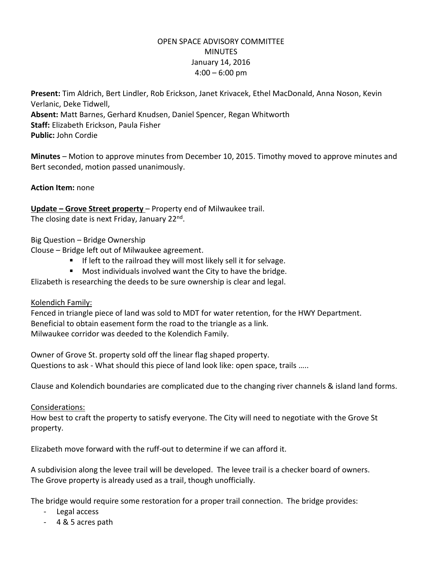# OPEN SPACE ADVISORY COMMITTEE **MINUTES** January 14, 2016  $4:00 - 6:00$  pm

**Present:** Tim Aldrich, Bert Lindler, Rob Erickson, Janet Krivacek, Ethel MacDonald, Anna Noson, Kevin Verlanic, Deke Tidwell, **Absent:** Matt Barnes, Gerhard Knudsen, Daniel Spencer, Regan Whitworth **Staff:** Elizabeth Erickson, Paula Fisher **Public:** John Cordie

**Minutes** – Motion to approve minutes from December 10, 2015. Timothy moved to approve minutes and Bert seconded, motion passed unanimously.

**Action Item:** none

**Update – Grove Street property** – Property end of Milwaukee trail. The closing date is next Friday, January 22<sup>nd</sup>.

Big Question – Bridge Ownership

Clouse – Bridge left out of Milwaukee agreement.

- $\blacksquare$  If left to the railroad they will most likely sell it for selvage.
- **Most individuals involved want the City to have the bridge.**

Elizabeth is researching the deeds to be sure ownership is clear and legal.

Kolendich Family:

Fenced in triangle piece of land was sold to MDT for water retention, for the HWY Department. Beneficial to obtain easement form the road to the triangle as a link. Milwaukee corridor was deeded to the Kolendich Family.

Owner of Grove St. property sold off the linear flag shaped property. Questions to ask - What should this piece of land look like: open space, trails …..

Clause and Kolendich boundaries are complicated due to the changing river channels & island land forms.

#### Considerations:

How best to craft the property to satisfy everyone. The City will need to negotiate with the Grove St property.

Elizabeth move forward with the ruff-out to determine if we can afford it.

A subdivision along the levee trail will be developed. The levee trail is a checker board of owners. The Grove property is already used as a trail, though unofficially.

The bridge would require some restoration for a proper trail connection. The bridge provides:

- Legal access
- 4 & 5 acres path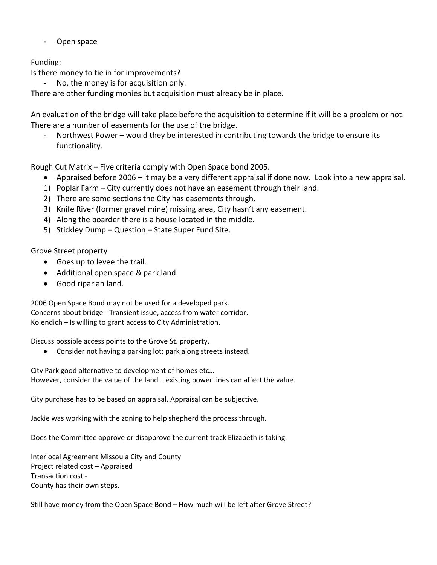- Open space

# Funding:

Is there money to tie in for improvements?

No, the money is for acquisition only.

There are other funding monies but acquisition must already be in place.

An evaluation of the bridge will take place before the acquisition to determine if it will be a problem or not. There are a number of easements for the use of the bridge.

Northwest Power – would they be interested in contributing towards the bridge to ensure its functionality.

Rough Cut Matrix – Five criteria comply with Open Space bond 2005.

- Appraised before 2006 it may be a very different appraisal if done now. Look into a new appraisal.
- 1) Poplar Farm City currently does not have an easement through their land.
- 2) There are some sections the City has easements through.
- 3) Knife River (former gravel mine) missing area, City hasn't any easement.
- 4) Along the boarder there is a house located in the middle.
- 5) Stickley Dump Question State Super Fund Site.

Grove Street property

- Goes up to levee the trail.
- Additional open space & park land.
- Good riparian land.

2006 Open Space Bond may not be used for a developed park. Concerns about bridge - Transient issue, access from water corridor. Kolendich – Is willing to grant access to City Administration.

Discuss possible access points to the Grove St. property.

Consider not having a parking lot; park along streets instead.

City Park good alternative to development of homes etc… However, consider the value of the land – existing power lines can affect the value.

City purchase has to be based on appraisal. Appraisal can be subjective.

Jackie was working with the zoning to help shepherd the process through.

Does the Committee approve or disapprove the current track Elizabeth is taking.

Interlocal Agreement Missoula City and County Project related cost – Appraised Transaction cost - County has their own steps.

Still have money from the Open Space Bond – How much will be left after Grove Street?